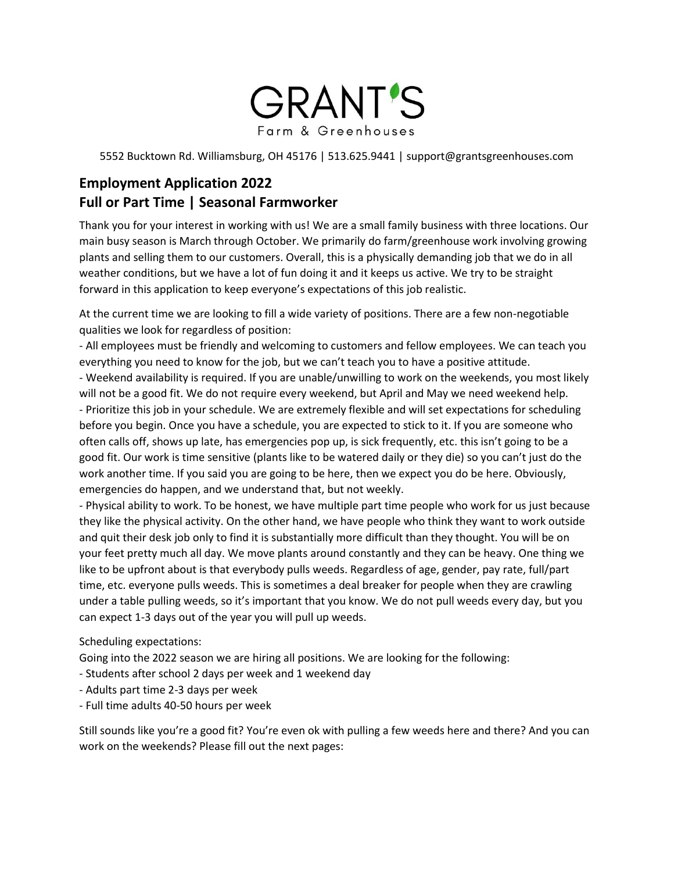

5552 Bucktown Rd. Williamsburg, OH 45176 | 513.625.9441 | support@grantsgreenhouses.com

## **Employment Application 2022 Full or Part Time | Seasonal Farmworker**

Thank you for your interest in working with us! We are a small family business with three locations. Our main busy season is March through October. We primarily do farm/greenhouse work involving growing plants and selling them to our customers. Overall, this is a physically demanding job that we do in all weather conditions, but we have a lot of fun doing it and it keeps us active. We try to be straight forward in this application to keep everyone's expectations of this job realistic.

At the current time we are looking to fill a wide variety of positions. There are a few non-negotiable qualities we look for regardless of position:

- All employees must be friendly and welcoming to customers and fellow employees. We can teach you everything you need to know for the job, but we can't teach you to have a positive attitude.

- Weekend availability is required. If you are unable/unwilling to work on the weekends, you most likely will not be a good fit. We do not require every weekend, but April and May we need weekend help. - Prioritize this job in your schedule. We are extremely flexible and will set expectations for scheduling before you begin. Once you have a schedule, you are expected to stick to it. If you are someone who often calls off, shows up late, has emergencies pop up, is sick frequently, etc. this isn't going to be a good fit. Our work is time sensitive (plants like to be watered daily or they die) so you can't just do the work another time. If you said you are going to be here, then we expect you do be here. Obviously, emergencies do happen, and we understand that, but not weekly.

- Physical ability to work. To be honest, we have multiple part time people who work for us just because they like the physical activity. On the other hand, we have people who think they want to work outside and quit their desk job only to find it is substantially more difficult than they thought. You will be on your feet pretty much all day. We move plants around constantly and they can be heavy. One thing we like to be upfront about is that everybody pulls weeds. Regardless of age, gender, pay rate, full/part time, etc. everyone pulls weeds. This is sometimes a deal breaker for people when they are crawling under a table pulling weeds, so it's important that you know. We do not pull weeds every day, but you can expect 1-3 days out of the year you will pull up weeds.

Scheduling expectations:

Going into the 2022 season we are hiring all positions. We are looking for the following:

- Students after school 2 days per week and 1 weekend day
- Adults part time 2-3 days per week
- Full time adults 40-50 hours per week

Still sounds like you're a good fit? You're even ok with pulling a few weeds here and there? And you can work on the weekends? Please fill out the next pages: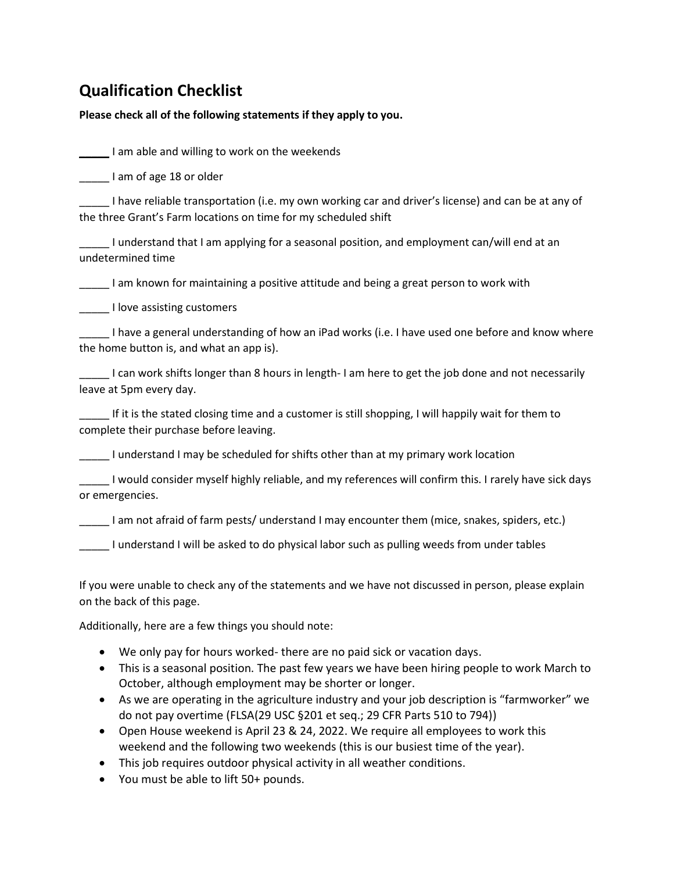# **Qualification Checklist**

### **Please check all of the following statements if they apply to you.**

**The I** am able and willing to work on the weekends

Letter 1 am of age 18 or older

\_\_\_\_\_ I have reliable transportation (i.e. my own working car and driver's license) and can be at any of the three Grant's Farm locations on time for my scheduled shift

\_\_\_\_\_ I understand that I am applying for a seasonal position, and employment can/will end at an undetermined time

\_\_\_\_\_ I am known for maintaining a positive attitude and being a great person to work with

\_\_\_\_\_ I love assisting customers

I have a general understanding of how an iPad works (i.e. I have used one before and know where the home button is, and what an app is).

\_\_\_\_\_ I can work shifts longer than 8 hours in length- I am here to get the job done and not necessarily leave at 5pm every day.

\_\_\_\_\_ If it is the stated closing time and a customer is still shopping, I will happily wait for them to complete their purchase before leaving.

\_\_\_\_\_ I understand I may be scheduled for shifts other than at my primary work location

\_\_\_\_\_ I would consider myself highly reliable, and my references will confirm this. I rarely have sick days or emergencies.

I am not afraid of farm pests/ understand I may encounter them (mice, snakes, spiders, etc.)

I understand I will be asked to do physical labor such as pulling weeds from under tables

If you were unable to check any of the statements and we have not discussed in person, please explain on the back of this page.

Additionally, here are a few things you should note:

- We only pay for hours worked- there are no paid sick or vacation days.
- This is a seasonal position. The past few years we have been hiring people to work March to October, although employment may be shorter or longer.
- As we are operating in the agriculture industry and your job description is "farmworker" we do not pay overtime (FLSA(29 USC §201 et seq.; 29 CFR Parts 510 to 794))
- Open House weekend is April 23 & 24, 2022. We require all employees to work this weekend and the following two weekends (this is our busiest time of the year).
- This job requires outdoor physical activity in all weather conditions.
- You must be able to lift 50+ pounds.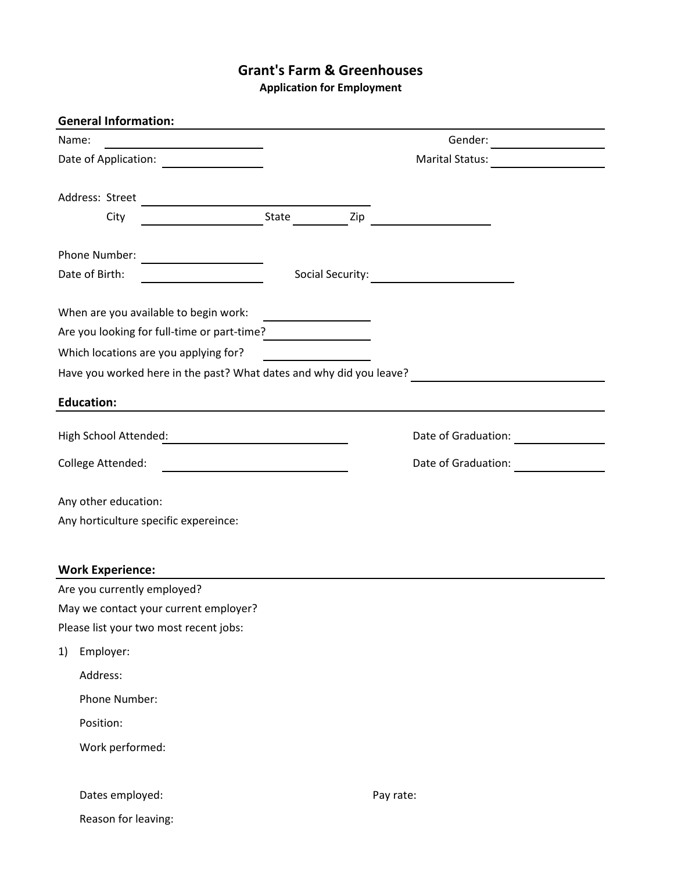### **Grant's Farm & Greenhouses**

**Application for Employment**

| <b>General Information:</b>                                         |                                                         |                                                           |
|---------------------------------------------------------------------|---------------------------------------------------------|-----------------------------------------------------------|
| Name:                                                               |                                                         | Gender: $\qquad \qquad$                                   |
|                                                                     |                                                         | <b>Marital Status:</b><br><u> 1999 - Jan Sterlingen (</u> |
| Address: Street                                                     |                                                         |                                                           |
| City                                                                |                                                         |                                                           |
|                                                                     |                                                         |                                                           |
|                                                                     |                                                         |                                                           |
| Date of Birth:                                                      |                                                         |                                                           |
| When are you available to begin work:                               |                                                         |                                                           |
| Are you looking for full-time or part-time?<br><u> </u>             |                                                         |                                                           |
| Which locations are you applying for?                               |                                                         |                                                           |
| Have you worked here in the past? What dates and why did you leave? |                                                         |                                                           |
| <b>Education:</b>                                                   | <u> 1989 - Johann Stein, marwolaethau a bhann an t-</u> |                                                           |
| High School Attended:                                               |                                                         |                                                           |
| College Attended:                                                   |                                                         | Date of Graduation:                                       |
| Any other education:                                                |                                                         |                                                           |
| Any horticulture specific expereince:                               |                                                         |                                                           |
| <b>Work Experience:</b>                                             |                                                         |                                                           |
| Are you currently employed?                                         |                                                         |                                                           |
| May we contact your current employer?                               |                                                         |                                                           |
| Please list your two most recent jobs:                              |                                                         |                                                           |
| Employer:<br>1)                                                     |                                                         |                                                           |
| Address:                                                            |                                                         |                                                           |
| Phone Number:                                                       |                                                         |                                                           |
| Position:                                                           |                                                         |                                                           |
| Work performed:                                                     |                                                         |                                                           |
| Dates employed:                                                     |                                                         | Pay rate:                                                 |
| Reason for leaving:                                                 |                                                         |                                                           |